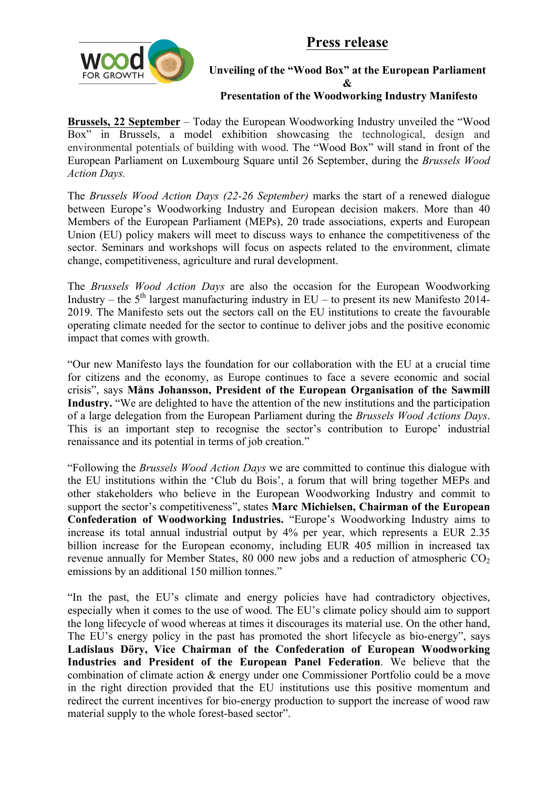**Press release**



### **Unveiling of the "Wood Box" at the European Parliament &**

#### **Presentation of the Woodworking Industry Manifesto**

**Brussels, 22 September** – Today the European Woodworking Industry unveiled the "Wood Box" in Brussels, a model exhibition showcasing the technological, design and environmental potentials of building with wood. The "Wood Box" will stand in front of the European Parliament on Luxembourg Square until 26 September, during the *Brussels Wood Action Days.*

The *Brussels Wood Action Days (22-26 September)* marks the start of a renewed dialogue between Europe's Woodworking Industry and European decision makers. More than 40 Members of the European Parliament (MEPs), 20 trade associations, experts and European Union (EU) policy makers will meet to discuss ways to enhance the competitiveness of the sector. Seminars and workshops will focus on aspects related to the environment, climate change, competitiveness, agriculture and rural development.

The *Brussels Wood Action Days* are also the occasion for the European Woodworking Industry – the  $5<sup>th</sup>$  largest manufacturing industry in EU – to present its new Manifesto 2014-2019. The Manifesto sets out the sectors call on the EU institutions to create the favourable operating climate needed for the sector to continue to deliver jobs and the positive economic impact that comes with growth.

"Our new Manifesto lays the foundation for our collaboration with the EU at a crucial time for citizens and the economy, as Europe continues to face a severe economic and social crisis", says **Måns Johansson, President of the European Organisation of the Sawmill Industry.** "We are delighted to have the attention of the new institutions and the participation of a large delegation from the European Parliament during the *Brussels Wood Actions Days*. This is an important step to recognise the sector's contribution to Europe' industrial renaissance and its potential in terms of job creation."

"Following the *Brussels Wood Action Days* we are committed to continue this dialogue with the EU institutions within the 'Club du Bois', a forum that will bring together MEPs and other stakeholders who believe in the European Woodworking Industry and commit to support the sector's competitiveness", states **Marc Michielsen, Chairman of the European Confederation of Woodworking Industries.** "Europe's Woodworking Industry aims to increase its total annual industrial output by 4% per year, which represents a EUR 2.35 billion increase for the European economy, including EUR 405 million in increased tax revenue annually for Member States,  $80\,000$  new jobs and a reduction of atmospheric  $CO<sub>2</sub>$ emissions by an additional 150 million tonnes."

"In the past, the EU's climate and energy policies have had contradictory objectives, especially when it comes to the use of wood. The EU's climate policy should aim to support the long lifecycle of wood whereas at times it discourages its material use. On the other hand, The EU's energy policy in the past has promoted the short lifecycle as bio-energy", says **Ladislaus Döry, Vice Chairman of the Confederation of European Woodworking Industries and President of the European Panel Federation**. We believe that the combination of climate action & energy under one Commissioner Portfolio could be a move in the right direction provided that the EU institutions use this positive momentum and redirect the current incentives for bio-energy production to support the increase of wood raw material supply to the whole forest-based sector".